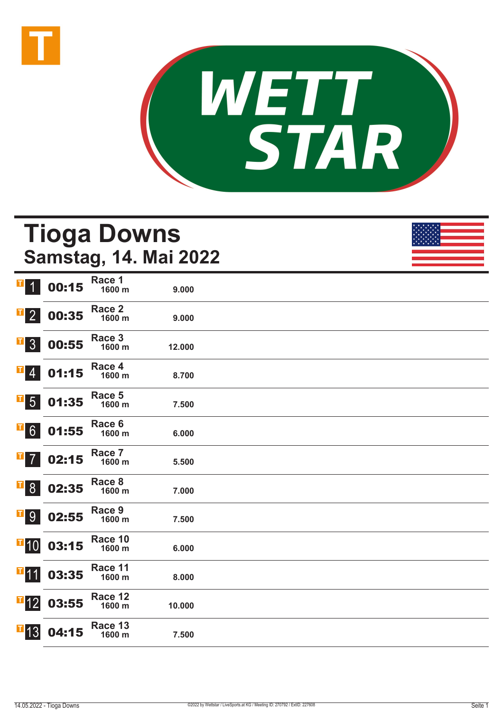



## **Tioga Downs Samstag, 14. Mai 2022**

| $\mathbf{T}$<br>$\overline{1}$                    | 00:15 | Race 1<br>1600 m  | 9.000  |  |
|---------------------------------------------------|-------|-------------------|--------|--|
| $\mathbf{T}$<br>$\overline{2}$                    | 00:35 | Race 2<br>1600 m  | 9.000  |  |
| I<br>3 <sup>1</sup>                               | 00:55 | Race 3<br>1600 m  | 12.000 |  |
| I<br>$\overline{4}$                               | 01:15 | Race 4<br>1600 m  | 8.700  |  |
| T <br>$5\overline{)}$                             | 01:35 | Race 5<br>1600 m  | 7.500  |  |
| T,<br>6 <sup>1</sup>                              | 01:55 | Race 6<br>1600 m  | 6.000  |  |
| I<br>$\overline{7}$                               | 02:15 | Race 7<br>1600 m  | 5.500  |  |
| $\overline{\phantom{0}}$ $\overline{\phantom{0}}$ | 02:35 | Race 8<br>1600 m  | 7.000  |  |
| $\overline{1}9$                                   | 02:55 | Race 9<br>1600 m  | 7.500  |  |
| $\blacksquare$ 10                                 | 03:15 | Race 10<br>1600 m | 6.000  |  |
| $\blacksquare$ 11                                 | 03:35 | Race 11<br>1600 m | 8.000  |  |
| $\overline{1}$ 12                                 | 03:55 | Race 12<br>1600 m | 10.000 |  |
| $\overline{1}$ 13                                 | 04:15 | Race 13<br>1600 m | 7.500  |  |
|                                                   |       |                   |        |  |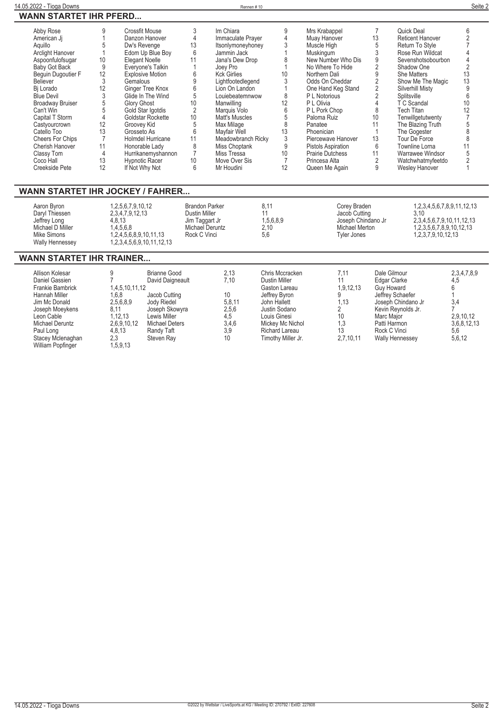**Wesley Hanover 1**

| Abby Rose               |    | Crossfit Mouse           |    | Im Chiara          | 9  | Mrs Krabappel             |    | Quick Deal              |    |
|-------------------------|----|--------------------------|----|--------------------|----|---------------------------|----|-------------------------|----|
| American Ji             |    | Danzon Hanover           |    | Immaculate Prayer  |    | Muay Hanover              | 13 | <b>Reticent Hanover</b> |    |
| Aquillo                 |    | Dw's Revenge             | 13 | Itsonlymoneyhoney  |    | Muscle High               |    | Return To Style         |    |
| Arclight Hanover        |    | Edom Up Blue Boy         |    | Jammin Jack        |    | Muskingum                 |    | Rose Run Wildcat        |    |
| Aspoonfulofsugar        | 10 | Elegant Noelle           |    | Jana's Dew Drop    |    | New Number Who Dis        |    | Sevenshotsobourbon      |    |
| Baby Got Back           |    | Everyone's Talkin        |    | Joey Pro           |    | No Where To Hide          |    | Shadow One              |    |
| Bequin Dugoutier F      | 12 | <b>Explosive Motion</b>  |    | <b>Kck Girlies</b> | 10 | Northern Dali             |    | <b>She Matters</b>      | 13 |
| Believer                |    | Gemalous                 |    | Lightfootedlegend  |    | Odds On Cheddar           |    | Show Me The Magic       | 13 |
| Bi Lorado               | 12 | Ginger Tree Knox         |    | Lion On Landon     |    | One Hand Keg Stand        |    | Silverhill Misty        |    |
| <b>Blue Devil</b>       |    | Glide In The Wind        |    | Louiebeatemnwow    | 8  | P L Notorious             |    | Splitsville             |    |
| <b>Broadway Bruiser</b> |    | <b>Glory Ghost</b>       | 10 | Manwilling         | 12 | P L Olivia                |    | T C Scandal             | 10 |
| Can't Win               |    | Gold Star Igotdis        |    | Marquis Volo       | 6  | P L Pork Chop             |    | <b>Tech Titan</b>       |    |
| Capital T Storm         |    | Goldstar Rockette        | 10 | Matt's Muscles     |    | Paloma Ruiz               | 10 | Tenwillgetutwenty       |    |
| Castyourcrown           | 12 | Groovey Kid              |    | Max Milage         |    | Panatee                   |    | The Blazing Truth       |    |
| Catello Too             | 13 | Grosseto As              |    | Mayfair Well       | 13 | Phoenician                |    | The Gogester            |    |
| <b>Cheers For Chips</b> |    | <b>Holmdel Hurricane</b> |    | Meadowbranch Ricky |    | Piercewave Hanover        | 13 | Tour De Force           |    |
| Cherish Hanover         | 11 | Honorable Lady           |    | Miss Choptank      | 9  | <b>Pistols Aspiration</b> | 6  | Townline Lorna          |    |
| Classy Tom              |    | Hurrikanemyshannon       |    | Miss Tressa        | 10 | <b>Prairie Dutchess</b>   |    | Warrawee Windsor        |    |
| Coco Hall               | 13 | Hypnotic Racer           | 10 | Move Over Sis      |    | Princesa Alta             |    | Watchwhatmyfeetdo       |    |
| Creekside Pete          | 12 | If Not Why Not           |    | Mr Houdini         | 12 | Queen Me Again            |    | Weslev Hanover          |    |

### **WANN STARTET IHR JOCKEY / FAHRER...**

**If Not Why Not 6**

| Aaron Byron<br>Daryl Thiessen<br>Jeffrey Long<br>Michael D Miller | 1,2,5,6,7,9,10,12<br>2.3.4.7.9.12.13<br>4.8.13<br>.4.5.6.8 | Brandon Parker<br>Dustin Miller<br>Jim Taggart Jr<br>Michael Deruntz | 8.11<br>1,5,6,8,9<br>2.10 | Corey Braden<br>Jacob Cutting<br>Joseph Chindano Jr<br>Michael Merton | 1.2.3.4.5.6.7.8.9.11.12.13<br>3.10<br>2,3,4,5,6,7,9,10,11,12,13<br>1.2.3.5.6.7.8.9.10.12.13 |
|-------------------------------------------------------------------|------------------------------------------------------------|----------------------------------------------------------------------|---------------------------|-----------------------------------------------------------------------|---------------------------------------------------------------------------------------------|
| Mike Simons<br><b>Wally Hennessey</b>                             | 1.2.4.5.6.8.9.10.11.13<br>1,2,3,4,5,6,9,10,11,12,13        | Rock C Vinci                                                         | 5.6                       | Tyler Jones                                                           | 1.2.3.7.9.10.12.13                                                                          |

**Mr Houdini 12 Queen Me Again 9**

## **WANN STARTET IHR TRAINER...**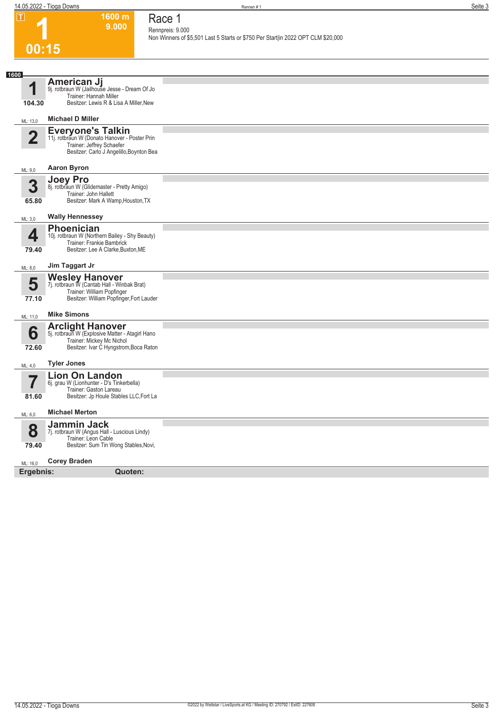**1600 m 9.000**  **Race 1**

**1**

| 00:15<br>1600<br>American Jj<br>и<br>9j. rotbraun W (Jailhouse Jesse - Dream Of Jo<br>Trainer: Hannah Miller<br>Besitzer: Lewis R & Lisa A Miller, New<br>104.30<br><b>Michael D Miller</b><br>ML: 13,0<br>Everyone's Talkin<br>11j. rotbraun W (Donato Hanover - Poster Prin<br>$\overline{2}$<br>Trainer: Jeffrey Schaefer<br>Besitzer: Carlo J Angelillo, Boynton Bea<br><b>Aaron Byron</b><br>ML: 9,0<br>Joey Pro<br>3<br>8j. rotbraun W (Glidemaster - Pretty Amigo)<br>Trainer: John Hallett<br>Besitzer: Mark A Wamp, Houston, TX<br>65.80<br><b>Wally Hennessey</b><br>ML: 3,0<br><b>Phoenician</b><br>4<br>10j. rotbraun W (Northern Bailey - Shy Beauty)<br>Trainer: Frankie Bambrick<br>Besitzer: Lee A Clarke, Buxton, ME<br>79.40<br>Jim Taggart Jr<br>ML: 8,0<br>Wesley Hanover<br>7j. rotbraun W (Cantab Hall - Winbak Brat)<br>5<br>Trainer: William Popfinger<br>Besitzer: William Popfinger, Fort Lauder<br>77.10<br><b>Mike Simons</b><br>ML: 11,0<br><b>Arclight Hanover</b><br>5j. rotbraun W (Explosive Matter - Atagirl Hano<br>6<br>Trainer: Mickey Mc Nichol<br>Besitzer: Ivar C Hyngstrom, Boca Raton<br>72.60<br><b>Tyler Jones</b><br>ML: 4,0<br><b>Lion On Landon</b><br>57<br>6j. grau W (Lionhunter - D's Tinkerbella)<br>Trainer: Gaston Lareau<br>Besitzer: Jp Houle Stables LLC, Fort La<br>81.60<br><b>Michael Merton</b><br>ML: 6,0<br><b>Jammin Jack</b><br>8<br>7j. rotbraun W (Angus Hall - Luscious Lindy)<br>Trainer: Leon Cable |       |                                       | Rennpreis: 9.000<br>Non Winners of \$5,501 Last 5 Starts or \$750 Per Start in 2022 OPT CLM \$20,000 |
|---------------------------------------------------------------------------------------------------------------------------------------------------------------------------------------------------------------------------------------------------------------------------------------------------------------------------------------------------------------------------------------------------------------------------------------------------------------------------------------------------------------------------------------------------------------------------------------------------------------------------------------------------------------------------------------------------------------------------------------------------------------------------------------------------------------------------------------------------------------------------------------------------------------------------------------------------------------------------------------------------------------------------------------------------------------------------------------------------------------------------------------------------------------------------------------------------------------------------------------------------------------------------------------------------------------------------------------------------------------------------------------------------------------------------------------------------------------------------|-------|---------------------------------------|------------------------------------------------------------------------------------------------------|
|                                                                                                                                                                                                                                                                                                                                                                                                                                                                                                                                                                                                                                                                                                                                                                                                                                                                                                                                                                                                                                                                                                                                                                                                                                                                                                                                                                                                                                                                           |       |                                       |                                                                                                      |
|                                                                                                                                                                                                                                                                                                                                                                                                                                                                                                                                                                                                                                                                                                                                                                                                                                                                                                                                                                                                                                                                                                                                                                                                                                                                                                                                                                                                                                                                           |       |                                       |                                                                                                      |
|                                                                                                                                                                                                                                                                                                                                                                                                                                                                                                                                                                                                                                                                                                                                                                                                                                                                                                                                                                                                                                                                                                                                                                                                                                                                                                                                                                                                                                                                           |       |                                       |                                                                                                      |
|                                                                                                                                                                                                                                                                                                                                                                                                                                                                                                                                                                                                                                                                                                                                                                                                                                                                                                                                                                                                                                                                                                                                                                                                                                                                                                                                                                                                                                                                           |       |                                       |                                                                                                      |
|                                                                                                                                                                                                                                                                                                                                                                                                                                                                                                                                                                                                                                                                                                                                                                                                                                                                                                                                                                                                                                                                                                                                                                                                                                                                                                                                                                                                                                                                           |       |                                       |                                                                                                      |
|                                                                                                                                                                                                                                                                                                                                                                                                                                                                                                                                                                                                                                                                                                                                                                                                                                                                                                                                                                                                                                                                                                                                                                                                                                                                                                                                                                                                                                                                           |       |                                       |                                                                                                      |
|                                                                                                                                                                                                                                                                                                                                                                                                                                                                                                                                                                                                                                                                                                                                                                                                                                                                                                                                                                                                                                                                                                                                                                                                                                                                                                                                                                                                                                                                           |       |                                       |                                                                                                      |
|                                                                                                                                                                                                                                                                                                                                                                                                                                                                                                                                                                                                                                                                                                                                                                                                                                                                                                                                                                                                                                                                                                                                                                                                                                                                                                                                                                                                                                                                           |       |                                       |                                                                                                      |
|                                                                                                                                                                                                                                                                                                                                                                                                                                                                                                                                                                                                                                                                                                                                                                                                                                                                                                                                                                                                                                                                                                                                                                                                                                                                                                                                                                                                                                                                           |       |                                       |                                                                                                      |
|                                                                                                                                                                                                                                                                                                                                                                                                                                                                                                                                                                                                                                                                                                                                                                                                                                                                                                                                                                                                                                                                                                                                                                                                                                                                                                                                                                                                                                                                           |       |                                       |                                                                                                      |
|                                                                                                                                                                                                                                                                                                                                                                                                                                                                                                                                                                                                                                                                                                                                                                                                                                                                                                                                                                                                                                                                                                                                                                                                                                                                                                                                                                                                                                                                           |       |                                       |                                                                                                      |
|                                                                                                                                                                                                                                                                                                                                                                                                                                                                                                                                                                                                                                                                                                                                                                                                                                                                                                                                                                                                                                                                                                                                                                                                                                                                                                                                                                                                                                                                           |       |                                       |                                                                                                      |
|                                                                                                                                                                                                                                                                                                                                                                                                                                                                                                                                                                                                                                                                                                                                                                                                                                                                                                                                                                                                                                                                                                                                                                                                                                                                                                                                                                                                                                                                           |       |                                       |                                                                                                      |
|                                                                                                                                                                                                                                                                                                                                                                                                                                                                                                                                                                                                                                                                                                                                                                                                                                                                                                                                                                                                                                                                                                                                                                                                                                                                                                                                                                                                                                                                           |       |                                       |                                                                                                      |
|                                                                                                                                                                                                                                                                                                                                                                                                                                                                                                                                                                                                                                                                                                                                                                                                                                                                                                                                                                                                                                                                                                                                                                                                                                                                                                                                                                                                                                                                           |       |                                       |                                                                                                      |
|                                                                                                                                                                                                                                                                                                                                                                                                                                                                                                                                                                                                                                                                                                                                                                                                                                                                                                                                                                                                                                                                                                                                                                                                                                                                                                                                                                                                                                                                           |       |                                       |                                                                                                      |
|                                                                                                                                                                                                                                                                                                                                                                                                                                                                                                                                                                                                                                                                                                                                                                                                                                                                                                                                                                                                                                                                                                                                                                                                                                                                                                                                                                                                                                                                           |       |                                       |                                                                                                      |
|                                                                                                                                                                                                                                                                                                                                                                                                                                                                                                                                                                                                                                                                                                                                                                                                                                                                                                                                                                                                                                                                                                                                                                                                                                                                                                                                                                                                                                                                           | 79.40 | Besitzer: Sum Tin Wong Stables, Novi, |                                                                                                      |
| <b>Corey Braden</b><br>ML: 16,0                                                                                                                                                                                                                                                                                                                                                                                                                                                                                                                                                                                                                                                                                                                                                                                                                                                                                                                                                                                                                                                                                                                                                                                                                                                                                                                                                                                                                                           |       |                                       |                                                                                                      |
| Ergebnis:<br><b>Quoten:</b>                                                                                                                                                                                                                                                                                                                                                                                                                                                                                                                                                                                                                                                                                                                                                                                                                                                                                                                                                                                                                                                                                                                                                                                                                                                                                                                                                                                                                                               |       |                                       |                                                                                                      |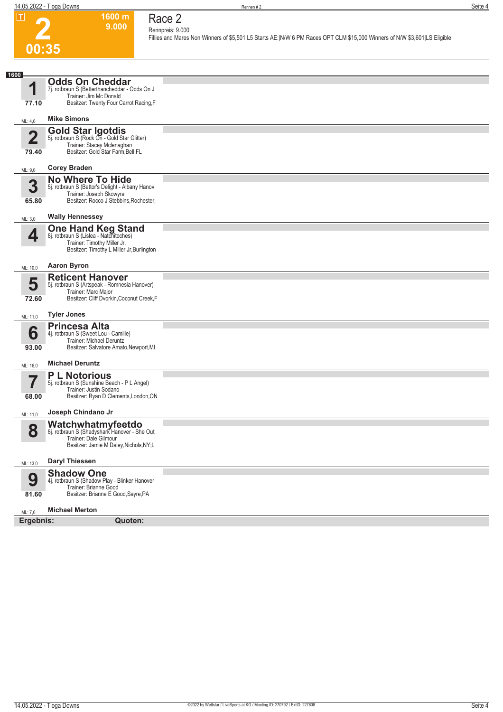**1600 m 9.000**  **Race 2**



#### **Rennpreis: 9.000 Fillies and Mares Non Winners of \$5,501 L5 Starts AE:|N/W 6 PM Races OPT CLM \$15,000 Winners of N/W \$3,601|LS Eligible**

| 1600                             |                                                                                                                                                 |  |
|----------------------------------|-------------------------------------------------------------------------------------------------------------------------------------------------|--|
| 1                                | <b>Odds On Cheddar</b><br>7j. rotbraun S (Betterthancheddar - Odds On J<br>Trainer: Jim Mc Donald                                               |  |
| 77.10                            | Besitzer: Twenty Four Carrot Racing, F                                                                                                          |  |
| ML: 4,0                          | <b>Mike Simons</b>                                                                                                                              |  |
| $\overline{\mathbf{2}}$<br>79.40 | <b>Gold Star Igotdis</b><br>5j. rotbraun S (Rock On - Gold Star Glitter)<br>Trainer: Stacey Mclenaghan<br>Besitzer: Gold Star Farm, Bell, FL    |  |
| ML: 9,0                          | <b>Corey Braden</b>                                                                                                                             |  |
|                                  | <b>No Where To Hide</b>                                                                                                                         |  |
| 3<br>65.80                       | 5j. rotbraun S (Bettor's Delight - Albany Hanov<br>Trainer: Joseph Skowyra<br>Besitzer: Rocco J Stebbins, Rochester,                            |  |
| ML: 3,0                          | <b>Wally Hennessey</b>                                                                                                                          |  |
| 4                                | <b>One Hand Keg Stand</b><br>8j. rotbraun S (Lislea - Natchitoches)<br>Trainer: Timothy Miller Jr.<br>Besitzer: Timothy L Miller Jr, Burlington |  |
| ML: 10,0                         | <b>Aaron Byron</b>                                                                                                                              |  |
| 5<br>72.60                       | <b>Reticent Hanover</b><br>5j. rotbraun S (Artspeak - Romnesia Hanover)<br>Trainer: Marc Major<br>Besitzer: Cliff Dvorkin, Coconut Creek, F     |  |
| ML: 11,0                         | <b>Tyler Jones</b>                                                                                                                              |  |
| 6<br>93.00                       | <b>Princesa Alta</b><br>4j. rotbraun S (Sweet Lou - Camille)<br>Trainer: Michael Deruntz<br>Besitzer: Salvatore Amato, Newport, MI              |  |
| ML: 16,0                         | <b>Michael Deruntz</b>                                                                                                                          |  |
| 68.00                            | <b>P L Notorious</b><br>5j. rotbraun S (Sunshine Beach - P L Angel)<br>Trainer: Justin Sodano<br>Besitzer: Ryan D Clements, London, ON          |  |
| ML: 11,0                         | Joseph Chindano Jr                                                                                                                              |  |
| 8                                | Watchwhatmyfeetdo<br>8j. rotbraun S (Shadyshark Hanover - She Out<br>Trainer: Dale Gilmour<br>Besitzer: Jamie M Daley, Nichols, NY;L            |  |
| ML: 13,0                         | <b>Daryl Thiessen</b>                                                                                                                           |  |
| 9<br>81.60                       | <b>Shadow One</b><br>4j. rotbraun S (Shadow Play - Blinker Hanover<br>Trainer: Brianne Good<br>Besitzer: Brianne E Good, Sayre, PA              |  |
| ML: 7,0                          | <b>Michael Merton</b>                                                                                                                           |  |
| Ergebnis:                        | Quoten:                                                                                                                                         |  |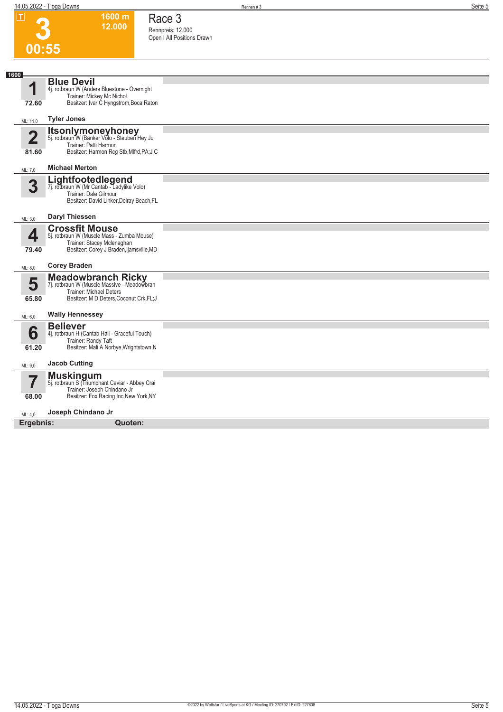**1600 m 12.000**  **Race 3 Rennpreis: 12.000 Open I All Positions Drawn** 

**3**

| 1600<br><b>Blue Devil</b><br>1<br>4j. rotbraun W (Anders Bluestone - Overnight<br>Trainer: Mickey Mc Nichol<br>Besitzer: Ivar C Hyngstrom, Boca Raton<br>72.60<br><b>Tyler Jones</b><br>ML: 11,0<br><b>Itsonlymoneyhoney</b><br>5j. rotbraun W (Banker Volo - Steuben Hey Ju<br>$\overline{2}$<br>Trainer: Patti Harmon<br>Besitzer: Harmon Rcg Stb, Mlfrd, PA; J C<br>81.60<br><b>Michael Merton</b><br>ML: 7,0<br>Lightfootedlegend<br>7j. rotbraun W (Mr Cantab - Ladylike Volo)<br>3<br>Trainer: Dale Gilmour<br>Besitzer: David Linker, Delray Beach, FL<br><b>Daryl Thiessen</b><br>ML: 3,0<br><b>Crossfit Mouse</b><br>4<br>5j. rotbraun W (Muscle Mass - Zumba Mouse)<br>Trainer: Stacey Mclenaghan<br>Besitzer: Corey J Braden, Ijamsville, MD<br>79.40<br><b>Corey Braden</b><br>ML: 8,0<br><b>Meadowbranch Ricky</b><br>7j. rotbraun W (Muscle Massive - Meadowbran<br>5<br><b>Trainer: Michael Deters</b><br>Besitzer: M D Deters, Coconut Crk, FL; J<br>65.80<br><b>Wally Hennessey</b><br>ML: 6,0<br><b>Believer</b><br>6<br>4j. rotbraun H (Cantab Hall - Graceful Touch)<br>Trainer: Randy Taft<br>Besitzer: Mali A Norbye, Wrightstown, N<br>61.20<br><b>Jacob Cutting</b><br>ML: 9,0<br><b>Muskingum</b><br>$\overline{\phantom{a}}$<br>5j. rotbraun S (Triumphant Caviar - Abbey Crai<br>Trainer: Joseph Chindano Jr<br>Besitzer: Fox Racing Inc, New York, NY<br>68.00<br>Joseph Chindano Jr<br>ML: 4,0<br>Ergebnis:<br>Quoten: | 00:55 |  |
|-----------------------------------------------------------------------------------------------------------------------------------------------------------------------------------------------------------------------------------------------------------------------------------------------------------------------------------------------------------------------------------------------------------------------------------------------------------------------------------------------------------------------------------------------------------------------------------------------------------------------------------------------------------------------------------------------------------------------------------------------------------------------------------------------------------------------------------------------------------------------------------------------------------------------------------------------------------------------------------------------------------------------------------------------------------------------------------------------------------------------------------------------------------------------------------------------------------------------------------------------------------------------------------------------------------------------------------------------------------------------------------------------------------------------------------------------------|-------|--|
|                                                                                                                                                                                                                                                                                                                                                                                                                                                                                                                                                                                                                                                                                                                                                                                                                                                                                                                                                                                                                                                                                                                                                                                                                                                                                                                                                                                                                                                     |       |  |
|                                                                                                                                                                                                                                                                                                                                                                                                                                                                                                                                                                                                                                                                                                                                                                                                                                                                                                                                                                                                                                                                                                                                                                                                                                                                                                                                                                                                                                                     |       |  |
|                                                                                                                                                                                                                                                                                                                                                                                                                                                                                                                                                                                                                                                                                                                                                                                                                                                                                                                                                                                                                                                                                                                                                                                                                                                                                                                                                                                                                                                     |       |  |
|                                                                                                                                                                                                                                                                                                                                                                                                                                                                                                                                                                                                                                                                                                                                                                                                                                                                                                                                                                                                                                                                                                                                                                                                                                                                                                                                                                                                                                                     |       |  |
|                                                                                                                                                                                                                                                                                                                                                                                                                                                                                                                                                                                                                                                                                                                                                                                                                                                                                                                                                                                                                                                                                                                                                                                                                                                                                                                                                                                                                                                     |       |  |
|                                                                                                                                                                                                                                                                                                                                                                                                                                                                                                                                                                                                                                                                                                                                                                                                                                                                                                                                                                                                                                                                                                                                                                                                                                                                                                                                                                                                                                                     |       |  |
|                                                                                                                                                                                                                                                                                                                                                                                                                                                                                                                                                                                                                                                                                                                                                                                                                                                                                                                                                                                                                                                                                                                                                                                                                                                                                                                                                                                                                                                     |       |  |
|                                                                                                                                                                                                                                                                                                                                                                                                                                                                                                                                                                                                                                                                                                                                                                                                                                                                                                                                                                                                                                                                                                                                                                                                                                                                                                                                                                                                                                                     |       |  |
|                                                                                                                                                                                                                                                                                                                                                                                                                                                                                                                                                                                                                                                                                                                                                                                                                                                                                                                                                                                                                                                                                                                                                                                                                                                                                                                                                                                                                                                     |       |  |
|                                                                                                                                                                                                                                                                                                                                                                                                                                                                                                                                                                                                                                                                                                                                                                                                                                                                                                                                                                                                                                                                                                                                                                                                                                                                                                                                                                                                                                                     |       |  |
|                                                                                                                                                                                                                                                                                                                                                                                                                                                                                                                                                                                                                                                                                                                                                                                                                                                                                                                                                                                                                                                                                                                                                                                                                                                                                                                                                                                                                                                     |       |  |
|                                                                                                                                                                                                                                                                                                                                                                                                                                                                                                                                                                                                                                                                                                                                                                                                                                                                                                                                                                                                                                                                                                                                                                                                                                                                                                                                                                                                                                                     |       |  |
|                                                                                                                                                                                                                                                                                                                                                                                                                                                                                                                                                                                                                                                                                                                                                                                                                                                                                                                                                                                                                                                                                                                                                                                                                                                                                                                                                                                                                                                     |       |  |
|                                                                                                                                                                                                                                                                                                                                                                                                                                                                                                                                                                                                                                                                                                                                                                                                                                                                                                                                                                                                                                                                                                                                                                                                                                                                                                                                                                                                                                                     |       |  |
|                                                                                                                                                                                                                                                                                                                                                                                                                                                                                                                                                                                                                                                                                                                                                                                                                                                                                                                                                                                                                                                                                                                                                                                                                                                                                                                                                                                                                                                     |       |  |
|                                                                                                                                                                                                                                                                                                                                                                                                                                                                                                                                                                                                                                                                                                                                                                                                                                                                                                                                                                                                                                                                                                                                                                                                                                                                                                                                                                                                                                                     |       |  |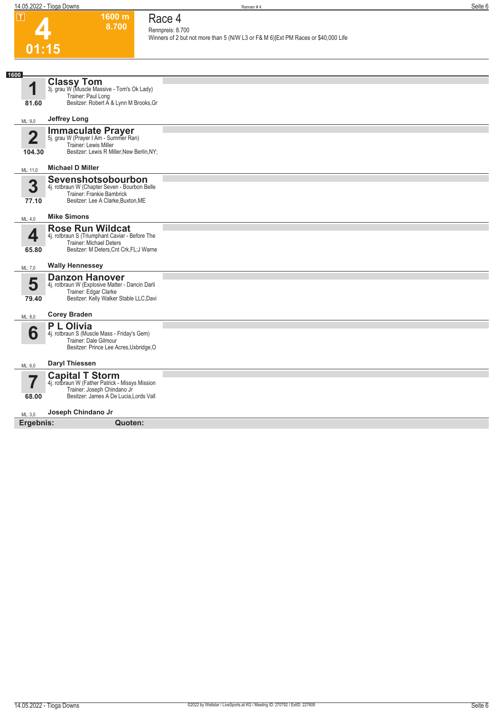**1600 m 8.700**  **Race 4**

| .                                | ווו טטטו<br>8.700                                                                                                                       | Race 4<br>Rennpreis: 8.700                                                        |
|----------------------------------|-----------------------------------------------------------------------------------------------------------------------------------------|-----------------------------------------------------------------------------------|
|                                  | 01:15                                                                                                                                   | Winners of 2 but not more than 5 (N/W L3 or F& M 6) Ext PM Races or \$40,000 Life |
|                                  |                                                                                                                                         |                                                                                   |
| 1600                             |                                                                                                                                         |                                                                                   |
| 1                                | <b>Classy Tom</b><br>3j. grau W (Muscle Massive - Tom's Ok Lady)                                                                        |                                                                                   |
| 81.60                            | Trainer: Paul Long<br>Besitzer: Robert A & Lynn M Brooks, Gr                                                                            |                                                                                   |
| ML: 9,0                          | <b>Jeffrey Long</b>                                                                                                                     |                                                                                   |
| $\overline{2}$<br>104.30         | <b>Immaculate Prayer</b><br>5j. grau W (Prayer I Am - Summer Ran)<br>Trainer: Lewis Miller<br>Besitzer: Lewis R Miller, New Berlin, NY; |                                                                                   |
| ML: 11,0                         | <b>Michael D Miller</b>                                                                                                                 |                                                                                   |
|                                  | Sevenshotsobourbon                                                                                                                      |                                                                                   |
| 3                                | 4j. rotbraun W (Chapter Seven - Bourbon Belle                                                                                           |                                                                                   |
|                                  | Trainer: Frankie Bambrick                                                                                                               |                                                                                   |
| 77.10                            | Besitzer: Lee A Clarke, Buxton, ME                                                                                                      |                                                                                   |
| ML: 4,0                          | <b>Mike Simons</b>                                                                                                                      |                                                                                   |
| 4                                | <b>Rose Run Wildcat</b><br>4j. rotbraun S (Triumphant Caviar - Before The<br>Trainer: Michael Deters                                    |                                                                                   |
| 65.80                            | Besitzer: M Deters, Cnt Crk, FL; J Warne                                                                                                |                                                                                   |
| ML: 7,0                          | <b>Wally Hennessey</b>                                                                                                                  |                                                                                   |
|                                  | <b>Danzon Hanover</b>                                                                                                                   |                                                                                   |
| 5                                | 4j. rotbraun W (Explosive Matter - Dancin Darli<br>Trainer: Edgar Clarke                                                                |                                                                                   |
| 79.40                            | Besitzer: Kelly Walker Stable LLC, Davi                                                                                                 |                                                                                   |
| ML: 8,0                          | <b>Corey Braden</b>                                                                                                                     |                                                                                   |
|                                  | <b>PL</b> Olivia                                                                                                                        |                                                                                   |
| 6                                | 4j. rotbraun S (Muscle Mass - Friday's Gem)<br>Trainer: Dale Gilmour                                                                    |                                                                                   |
|                                  | Besitzer: Prince Lee Acres, Uxbridge, O                                                                                                 |                                                                                   |
| ML: 6,0                          | <b>Daryl Thiessen</b>                                                                                                                   |                                                                                   |
|                                  | <b>Capital T Storm</b>                                                                                                                  |                                                                                   |
| $\overline{\mathbf{7}}$<br>68.00 | 4j. rotbraun W (Father Patrick - Missys Mission<br>Trainer: Joseph Chindano Jr<br>Besitzer: James A De Lucia, Lords Vall                |                                                                                   |
|                                  | Joseph Chindano Jr                                                                                                                      |                                                                                   |
| ML: 3,0<br>Ergebnis:             | Quoten:                                                                                                                                 |                                                                                   |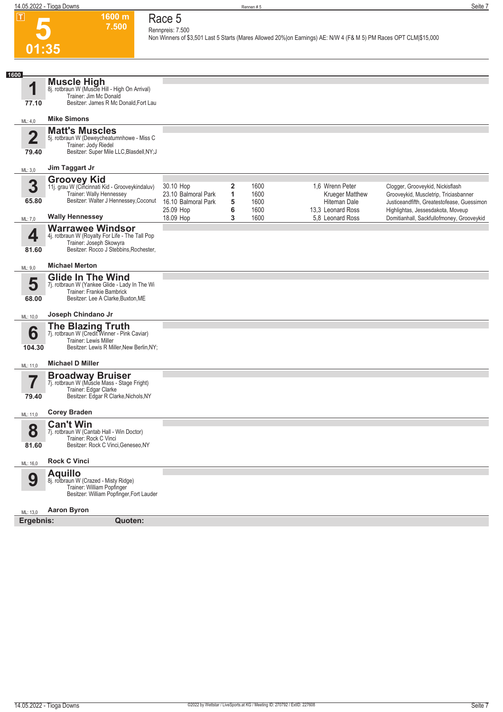### **Race 5 Rennpreis: 7.500**

**1600 m 7.500** 

**Non Winners of \$3,501 Last 5 Starts (Mares Allowed 20%|on Earnings) AE: N/W 4 (F& M 5) PM Races OPT CLM|\$15,000** 

| <b>Muscle High</b><br>1<br>8j. rotbraun W (Muscle Hill - High On Arrival)<br>Trainer: Jim Mc Donald<br>Besitzer: James R Mc Donald, Fort Lau<br>77.10<br><b>Mike Simons</b><br>ML: 4,0<br><b>Matt's Muscles</b><br>2<br>5j. rotbraun W (Deweycheatumnhowe - Miss C<br>Trainer: Jody Riedel<br>Besitzer: Super Mile LLC, Blasdell, NY; J<br>79.40<br>Jim Taggart Jr<br>ML: 3,0<br><b>Groovey Kid</b><br>3<br>11j. grau W (Cincinnati Kid - Grooveykindaluv)<br>30.10 Hop<br>$\mathbf{2}$<br>1600<br>1.6 Wrenn Peter<br>Clogger, Grooveykid, Nickisflash<br>Trainer: Wally Hennessey<br>23.10 Balmoral Park<br>1<br>1600<br>Krueger Matthew<br>Grooveykid, Muscletrip, Triciasbanner<br>Besitzer: Walter J Hennessey, Coconut<br>65.80<br>5<br>16.10 Balmoral Park<br>1600<br>Hiteman Dale<br>Justiceandfifth, Greatestofease, Guessimon<br>6<br>25.09 Hop<br>1600<br>13,3 Leonard Ross<br>Highlightas, Jessesdakota, Moveup<br><b>Wally Hennessey</b><br>3<br>18.09 Hop<br>1600<br>5.8 Leonard Ross<br>Domitianhall, Sackfullofmoney, Grooveykid<br>ML: 7,0<br><b>Warrawee Windsor</b><br>4<br>4j. rotbraun W (Royalty For Life - The Tall Pop<br>Trainer: Joseph Skowyra<br>Besitzer: Rocco J Stebbins, Rochester,<br>81.60<br><b>Michael Merton</b><br>ML: 9,0<br><b>Glide In The Wind</b><br>5<br>7j. rotbraun W (Yankee Glide - Lady In The Wi<br>Trainer: Frankie Bambrick<br>Besitzer: Lee A Clarke, Buxton, ME<br>68.00<br>Joseph Chindano Jr<br>ML: 10,0<br><b>The Blazing Truth</b><br>7j. rotbraun W (Credit Winner - Pink Caviar)<br>6<br>Trainer: Lewis Miller<br>Besitzer: Lewis R Miller, New Berlin, NY;<br>104.30<br><b>Michael D Miller</b><br>ML: 11,0<br><b>Broadway Bruiser</b><br>7j. rotbraun W (Muscle Mass - Stage Fright)<br>Trainer: Edgar Clarke<br>Besitzer: Edgar R Clarke, Nichols, NY<br>79.40<br><b>Corey Braden</b><br>ML: 11,0<br><b>Can't Win</b><br>8<br>7j. rotbraun W (Cantab Hall - Win Doctor)<br>Trainer: Rock C Vinci<br>Besitzer: Rock C Vinci, Geneseo, NY<br>81.60<br><b>Rock C Vinci</b><br>ML: 16,0<br><b>Aquillo</b><br>9<br>8j. rotbraun W (Crazed - Misty Ridge)<br>Trainer: William Popfinger<br>Besitzer: William Popfinger, Fort Lauder<br><b>Aaron Byron</b><br>ML: 13,0<br>Quoten:<br>Ergebnis: | 1600 |  |  |  |
|-------------------------------------------------------------------------------------------------------------------------------------------------------------------------------------------------------------------------------------------------------------------------------------------------------------------------------------------------------------------------------------------------------------------------------------------------------------------------------------------------------------------------------------------------------------------------------------------------------------------------------------------------------------------------------------------------------------------------------------------------------------------------------------------------------------------------------------------------------------------------------------------------------------------------------------------------------------------------------------------------------------------------------------------------------------------------------------------------------------------------------------------------------------------------------------------------------------------------------------------------------------------------------------------------------------------------------------------------------------------------------------------------------------------------------------------------------------------------------------------------------------------------------------------------------------------------------------------------------------------------------------------------------------------------------------------------------------------------------------------------------------------------------------------------------------------------------------------------------------------------------------------------------------------------------------------------------------------------------------------------------------------------------------------------------------------------------------------------------------------------------------------------------------------------------------------------------------------------------------------------------|------|--|--|--|
|                                                                                                                                                                                                                                                                                                                                                                                                                                                                                                                                                                                                                                                                                                                                                                                                                                                                                                                                                                                                                                                                                                                                                                                                                                                                                                                                                                                                                                                                                                                                                                                                                                                                                                                                                                                                                                                                                                                                                                                                                                                                                                                                                                                                                                                       |      |  |  |  |
|                                                                                                                                                                                                                                                                                                                                                                                                                                                                                                                                                                                                                                                                                                                                                                                                                                                                                                                                                                                                                                                                                                                                                                                                                                                                                                                                                                                                                                                                                                                                                                                                                                                                                                                                                                                                                                                                                                                                                                                                                                                                                                                                                                                                                                                       |      |  |  |  |
|                                                                                                                                                                                                                                                                                                                                                                                                                                                                                                                                                                                                                                                                                                                                                                                                                                                                                                                                                                                                                                                                                                                                                                                                                                                                                                                                                                                                                                                                                                                                                                                                                                                                                                                                                                                                                                                                                                                                                                                                                                                                                                                                                                                                                                                       |      |  |  |  |
|                                                                                                                                                                                                                                                                                                                                                                                                                                                                                                                                                                                                                                                                                                                                                                                                                                                                                                                                                                                                                                                                                                                                                                                                                                                                                                                                                                                                                                                                                                                                                                                                                                                                                                                                                                                                                                                                                                                                                                                                                                                                                                                                                                                                                                                       |      |  |  |  |
|                                                                                                                                                                                                                                                                                                                                                                                                                                                                                                                                                                                                                                                                                                                                                                                                                                                                                                                                                                                                                                                                                                                                                                                                                                                                                                                                                                                                                                                                                                                                                                                                                                                                                                                                                                                                                                                                                                                                                                                                                                                                                                                                                                                                                                                       |      |  |  |  |
|                                                                                                                                                                                                                                                                                                                                                                                                                                                                                                                                                                                                                                                                                                                                                                                                                                                                                                                                                                                                                                                                                                                                                                                                                                                                                                                                                                                                                                                                                                                                                                                                                                                                                                                                                                                                                                                                                                                                                                                                                                                                                                                                                                                                                                                       |      |  |  |  |
|                                                                                                                                                                                                                                                                                                                                                                                                                                                                                                                                                                                                                                                                                                                                                                                                                                                                                                                                                                                                                                                                                                                                                                                                                                                                                                                                                                                                                                                                                                                                                                                                                                                                                                                                                                                                                                                                                                                                                                                                                                                                                                                                                                                                                                                       |      |  |  |  |
|                                                                                                                                                                                                                                                                                                                                                                                                                                                                                                                                                                                                                                                                                                                                                                                                                                                                                                                                                                                                                                                                                                                                                                                                                                                                                                                                                                                                                                                                                                                                                                                                                                                                                                                                                                                                                                                                                                                                                                                                                                                                                                                                                                                                                                                       |      |  |  |  |
|                                                                                                                                                                                                                                                                                                                                                                                                                                                                                                                                                                                                                                                                                                                                                                                                                                                                                                                                                                                                                                                                                                                                                                                                                                                                                                                                                                                                                                                                                                                                                                                                                                                                                                                                                                                                                                                                                                                                                                                                                                                                                                                                                                                                                                                       |      |  |  |  |
|                                                                                                                                                                                                                                                                                                                                                                                                                                                                                                                                                                                                                                                                                                                                                                                                                                                                                                                                                                                                                                                                                                                                                                                                                                                                                                                                                                                                                                                                                                                                                                                                                                                                                                                                                                                                                                                                                                                                                                                                                                                                                                                                                                                                                                                       |      |  |  |  |
|                                                                                                                                                                                                                                                                                                                                                                                                                                                                                                                                                                                                                                                                                                                                                                                                                                                                                                                                                                                                                                                                                                                                                                                                                                                                                                                                                                                                                                                                                                                                                                                                                                                                                                                                                                                                                                                                                                                                                                                                                                                                                                                                                                                                                                                       |      |  |  |  |
|                                                                                                                                                                                                                                                                                                                                                                                                                                                                                                                                                                                                                                                                                                                                                                                                                                                                                                                                                                                                                                                                                                                                                                                                                                                                                                                                                                                                                                                                                                                                                                                                                                                                                                                                                                                                                                                                                                                                                                                                                                                                                                                                                                                                                                                       |      |  |  |  |
|                                                                                                                                                                                                                                                                                                                                                                                                                                                                                                                                                                                                                                                                                                                                                                                                                                                                                                                                                                                                                                                                                                                                                                                                                                                                                                                                                                                                                                                                                                                                                                                                                                                                                                                                                                                                                                                                                                                                                                                                                                                                                                                                                                                                                                                       |      |  |  |  |
|                                                                                                                                                                                                                                                                                                                                                                                                                                                                                                                                                                                                                                                                                                                                                                                                                                                                                                                                                                                                                                                                                                                                                                                                                                                                                                                                                                                                                                                                                                                                                                                                                                                                                                                                                                                                                                                                                                                                                                                                                                                                                                                                                                                                                                                       |      |  |  |  |
|                                                                                                                                                                                                                                                                                                                                                                                                                                                                                                                                                                                                                                                                                                                                                                                                                                                                                                                                                                                                                                                                                                                                                                                                                                                                                                                                                                                                                                                                                                                                                                                                                                                                                                                                                                                                                                                                                                                                                                                                                                                                                                                                                                                                                                                       |      |  |  |  |
|                                                                                                                                                                                                                                                                                                                                                                                                                                                                                                                                                                                                                                                                                                                                                                                                                                                                                                                                                                                                                                                                                                                                                                                                                                                                                                                                                                                                                                                                                                                                                                                                                                                                                                                                                                                                                                                                                                                                                                                                                                                                                                                                                                                                                                                       |      |  |  |  |
|                                                                                                                                                                                                                                                                                                                                                                                                                                                                                                                                                                                                                                                                                                                                                                                                                                                                                                                                                                                                                                                                                                                                                                                                                                                                                                                                                                                                                                                                                                                                                                                                                                                                                                                                                                                                                                                                                                                                                                                                                                                                                                                                                                                                                                                       |      |  |  |  |
|                                                                                                                                                                                                                                                                                                                                                                                                                                                                                                                                                                                                                                                                                                                                                                                                                                                                                                                                                                                                                                                                                                                                                                                                                                                                                                                                                                                                                                                                                                                                                                                                                                                                                                                                                                                                                                                                                                                                                                                                                                                                                                                                                                                                                                                       |      |  |  |  |
|                                                                                                                                                                                                                                                                                                                                                                                                                                                                                                                                                                                                                                                                                                                                                                                                                                                                                                                                                                                                                                                                                                                                                                                                                                                                                                                                                                                                                                                                                                                                                                                                                                                                                                                                                                                                                                                                                                                                                                                                                                                                                                                                                                                                                                                       |      |  |  |  |
|                                                                                                                                                                                                                                                                                                                                                                                                                                                                                                                                                                                                                                                                                                                                                                                                                                                                                                                                                                                                                                                                                                                                                                                                                                                                                                                                                                                                                                                                                                                                                                                                                                                                                                                                                                                                                                                                                                                                                                                                                                                                                                                                                                                                                                                       |      |  |  |  |
|                                                                                                                                                                                                                                                                                                                                                                                                                                                                                                                                                                                                                                                                                                                                                                                                                                                                                                                                                                                                                                                                                                                                                                                                                                                                                                                                                                                                                                                                                                                                                                                                                                                                                                                                                                                                                                                                                                                                                                                                                                                                                                                                                                                                                                                       |      |  |  |  |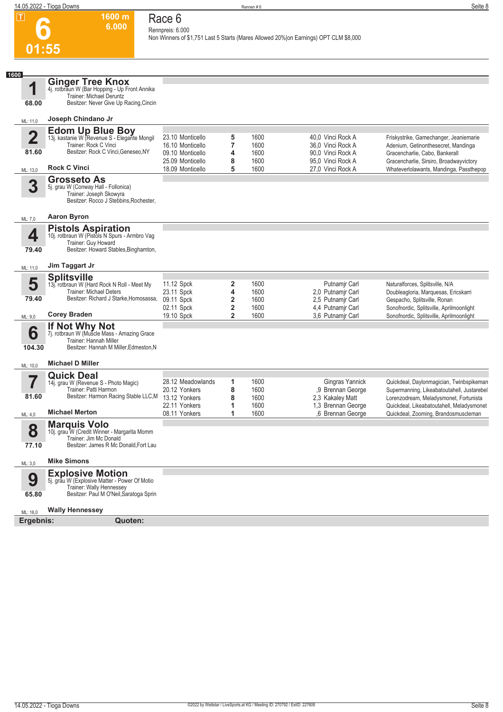**1600 m**

**Race 6**

#### **6 01:55 6.000 Rennpreis: 6.000 Non Winners of \$1,751 Last 5 Starts (Mares Allowed 20%|on Earnings) OPT CLM \$8,000 1 1600** ML: 11,0 **68.00 Ginger Tree Knox** 4j. rotbraun W (Bar Hopping - Up Front Annika Trainer: Michael Deruntz Besitzer: Never Give Up Racing,Cincin **Joseph Chindano Jr 2** ML: 13,0 **81.60 Edom Up Blue Boy**<br>13j. kastanie W (Revenue S - Elegante Mongil<br>Trainer: Rock C Vinci Besitzer: Rock C Vinci,Geneseo,NY **Rock C Vinci** 23.10 Monticello **5** 1600 40,0 Vinci Rock A Friskystrike, Gamechanger, Jeaniemarie 1600 16.00 Monticello **76.00 Adenium, Getinonthesecret, Mandinga** 36,00 Vinci Rock A Adenium, Getinonthesecret, Mandinga<br>1600 1600 30,00 Vinci Rock A Gracencharlie, Cabo, Bankerall 09.10 Monticello **4** 1600 90,0 Vinci Rock A Gracencharlie, Cabo, Bankerall<br>1600 95,0 Vinci Rock A Gracencharlie, Sirsiro, Broadwa 25.09 Monticello **8** 1600 95,0 Vinci Rock A Gracencharlie, Sirsiro, Broadwayvictory Whateverlolawants, Mandinga, Passthepop **3** ML: 7,0 **Grosseto As** 5j. grau W (Conway Hall - Follonica) Trainer: Joseph Skowyra Besitzer: Rocco J Stebbins,Rochester, **Aaron Byron 4** ML: 11,0 **79.40 Pistols Aspiration** 10j. rotbraun W (Pistols N Spurs - Armbro Vag Trainer: Guy Howard Besitzer: Howard Stables,Binghamton, **Jim Taggart Jr 5** ML: 9,0 **79.40 Splitsville** 13j. rotbraun W (Hard Rock N Roll - Meet My Trainer: Michael Deters Besitzer: Richard J Starke,Homosassa, **Corey Braden** 11.12 Spck **2** 1600 Putnamjr Carl Naturalforces, Splitsville, N/A 23.11 Spck **4** 1600 2,0 Putnamjr Carl Doubleagloria, Marquesas, Ericskarri<br>19.11 Spck **2** 1600 2,5 Putnamjr Carl Gespacho, Splitsville, Ronan Gespacho, Splitsville, Ronan 02.11 Spck **2 1600** 4,4 Putnamjr Carl Sonofnordic, Splitsville, Aprilmoonlight<br>19.10 Spck 2 1600 3,6 Putnamjr Carl Sonofnordic, Splitsville, Aprilmoonlight 19.10 Spck **2** 1600 3,6 Putnamjr Carl Sonofnordic, Splitsville, Aprilmoonlight **6** ML: 10,0 **104.30 If Not Why Not** 7j. rotbraun W (Muscle Mass - Amazing Grace Trainer: Hannah Miller Besitzer: Hannah M Miller,Edmeston,N **Michael D Miller 7** ML: 4,0 **81.60 Quick Deal** 14j. grau W (Revenue S - Photo Magic) Trainer: Patti Harmon Besitzer: Harmon Racing Stable LLC,M **Michael Merton** 28.12 Meadowlands **1** 1600 Gingras Yannick Quickdeal, Daylonmagician, Twinbspikeman 20.12 Yonkers **8** 1600 ,9 Brennan George Supermanning, Likeabatoutahell, Justarebel 13.12 Yonkers **8** 1600 2,3 Kakaley Matt Lorenzodream, Meladysmonet, Fortunista 22.11 Yonkers **1** 1600 1,3 Brennan George Quickdeal, Likeabatoutahell, Meladysmonet Quickdeal, Zooming, Brandosmuscleman **8** ML: 3,0 **77.10 Marquis Volo** 10j. grau W (Credit Winner - Margarita Momm Trainer: Jim Mc Donald Besitzer: James R Mc Donald,Fort Lau **Mike Simons 9** ML: 16,0 **65.80 Explosive Motion** 5j. grau W (Explosive Matter - Power Of Motio Trainer: Wally Hennessey Besitzer: Paul M O'Neil,Saratoga Sprin **Wally Hennessey**

**Ergebnis: Quoten:**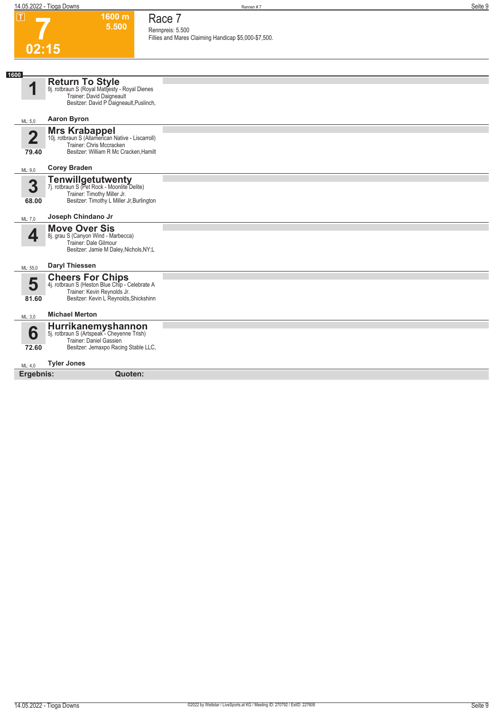# **7 02:15**

**1600 m 5.500 Race 7**

**Rennpreis: 5.500 Fillies and Mares Claiming Handicap \$5,000-\$7,500.** 

| 1600                             |                                                                                                                                                     |  |
|----------------------------------|-----------------------------------------------------------------------------------------------------------------------------------------------------|--|
| q                                | <b>Return To Style</b><br>9j. rotbraun S (Royal Mattjesty - Royal Dienes<br>Trainer: David Daigneault<br>Besitzer: David P Daigneault, Puslinch,    |  |
| ML: 5.0                          | <b>Aaron Byron</b>                                                                                                                                  |  |
| $\overline{\mathbf{2}}$<br>79.40 | <b>Mrs Krabappel</b><br>10j. rotbraun S (Allamerican Native - Liscarroll)<br>Trainer: Chris Mccracken<br>Besitzer: William R Mc Cracken, Hamilt     |  |
| ML: 9,0                          | <b>Corey Braden</b>                                                                                                                                 |  |
| 3<br>68.00                       | <b>Tenwillgetutwenty</b><br>7j. rotbraun S (Pet Rock - Moonlite Delite)<br>Trainer: Timothy Miller Jr.<br>Besitzer: Timothy L Miller Jr, Burlington |  |
| ML: 7,0                          | Joseph Chindano Jr                                                                                                                                  |  |
| 4                                | <b>Move Over Sis</b><br>8j. grau S (Canyon Wind - Marbecca)<br>Trainer: Dale Gilmour<br>Besitzer: Jamie M Daley, Nichols, NY;L                      |  |
| ML: 55,0                         | <b>Daryl Thiessen</b>                                                                                                                               |  |
| 5<br>81.60                       | <b>Cheers For Chips</b><br>4j. rotbraun S (Heston Blue Chip - Celebrate A<br>Trainer: Kevin Reynolds Jr.<br>Besitzer: Kevin L Reynolds, Shickshinn  |  |
| ML: 3,0                          | <b>Michael Merton</b>                                                                                                                               |  |
| 6<br>72.60                       | Hurrikanemyshannon<br>5j. rotbraun S (Artspeak - Cheyenne Trish)<br>Trainer: Daniel Gassien<br>Besitzer: Jemaxpo Racing Stable LLC,                 |  |
| ML: 4,0                          | <b>Tyler Jones</b>                                                                                                                                  |  |
| Ergebnis:                        | Quoten:                                                                                                                                             |  |
|                                  |                                                                                                                                                     |  |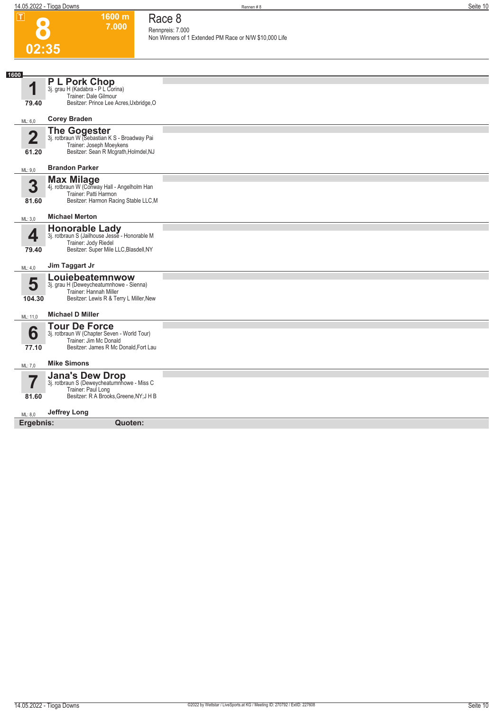**1600 m 7.000**  **Race 8 Rennpreis: 7.000**

| .<br>$\bullet$          | ווו טטטו<br>7.000                                                     | Race o<br>Rennpreis: 7.000                             |
|-------------------------|-----------------------------------------------------------------------|--------------------------------------------------------|
| 02:35                   |                                                                       | Non Winners of 1 Extended PM Race or N/W \$10,000 Life |
|                         |                                                                       |                                                        |
| 1600                    |                                                                       |                                                        |
|                         | <b>PL Pork Chop</b><br>3j. grau H (Kadabra - P L Corina)              |                                                        |
| 1                       | Trainer: Dale Gilmour                                                 |                                                        |
| 79.40                   | Besitzer: Prince Lee Acres, Uxbridge, O                               |                                                        |
| ML: 6,0                 | <b>Corey Braden</b>                                                   |                                                        |
| $\overline{\mathbf{2}}$ | The Gogester<br>3j. rotbraun W (Sebastian K S - Broadway Pai          |                                                        |
|                         | Trainer: Joseph Moeykens                                              |                                                        |
| 61.20                   | Besitzer: Sean R Mcgrath, Holmdel, NJ                                 |                                                        |
| ML: 9,0                 | <b>Brandon Parker</b>                                                 |                                                        |
| 3                       | Max Milage 4j. rotbraun W (Conway Hall - Angelholm Han                |                                                        |
|                         | Trainer: Patti Harmon                                                 |                                                        |
| 81.60                   | Besitzer: Harmon Racing Stable LLC,M                                  |                                                        |
| ML: 3,0                 | <b>Michael Merton</b>                                                 |                                                        |
|                         | <b>Honorable Lady</b>                                                 |                                                        |
| 4                       | 3j. rotbraun S (Jailhouse Jesse - Honorable M<br>Trainer: Jody Riedel |                                                        |
| 79.40                   | Besitzer: Super Mile LLC, Blasdell, NY                                |                                                        |
| ML: 4,0                 | Jim Taggart Jr                                                        |                                                        |
|                         | Louiebeatemnwow                                                       |                                                        |
| 5                       | 3j. grau H (Deweycheatumnhowe - Sienna)<br>Trainer: Hannah Miller     |                                                        |
| 104.30                  | Besitzer: Lewis R & Terry L Miller, New                               |                                                        |
| ML: 11,0                | <b>Michael D Miller</b>                                               |                                                        |
|                         | <b>Tour De Force</b>                                                  |                                                        |
| 6                       | 3j. rotbraun W (Chapter Seven - World Tour)<br>Trainer: Jim Mc Donald |                                                        |
| 77.10                   | Besitzer: James R Mc Donald, Fort Lau                                 |                                                        |
| ML: 7,0                 | <b>Mike Simons</b>                                                    |                                                        |
|                         | <b>Jana's Dew Drop</b>                                                |                                                        |
| 7                       | 3j. rotbraun S (Deweycheatumnhowe - Miss C<br>Trainer: Paul Long      |                                                        |
| 81.60                   | Besitzer: R A Brooks, Greene, NY; J H B                               |                                                        |
| ML: 8,0                 | Jeffrey Long                                                          |                                                        |
| Ergebnis:               | Quoten:                                                               |                                                        |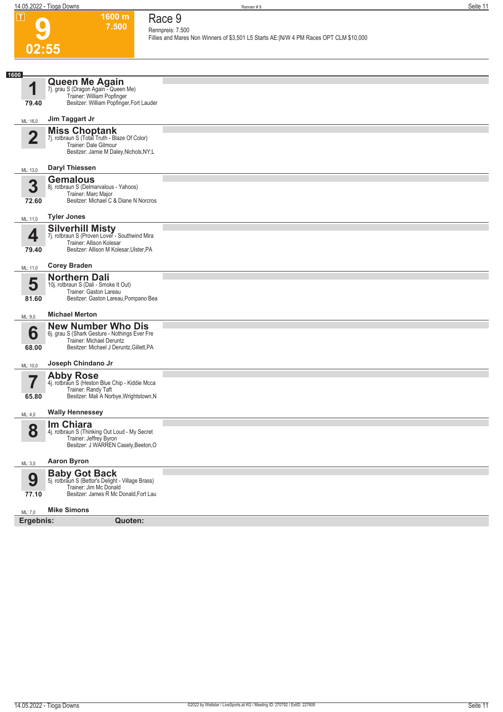| $\mathbf I$    | 1600 m<br>7.500                                                                                                                                    | Race 9<br>Rennpreis: 7.500                                                             |
|----------------|----------------------------------------------------------------------------------------------------------------------------------------------------|----------------------------------------------------------------------------------------|
|                |                                                                                                                                                    | Fillies and Mares Non Winners of \$3,501 L5 Starts AE: N/W 4 PM Races OPT CLM \$10,000 |
| 02:55          |                                                                                                                                                    |                                                                                        |
| 1600           |                                                                                                                                                    |                                                                                        |
| 1<br>79.40     | Queen Me Again<br>7j. grau S (Dragon Again - Queen Me)<br>Trainer: William Popfinger<br>Besitzer: William Popfinger, Fort Lauder                   |                                                                                        |
| ML: 16,0       | Jim Taggart Jr                                                                                                                                     |                                                                                        |
| $\overline{2}$ | <b>Miss Choptank</b><br>7j. rotbraun S (Total Truth - Blaze Of Color)<br>Trainer: Dale Gilmour<br>Besitzer: Jamie M Daley, Nichols, NY;L           |                                                                                        |
| ML: 13,0       | <b>Daryl Thiessen</b>                                                                                                                              |                                                                                        |
| 3<br>72.60     | <b>Gemalous</b><br>8j. rotbraun S (Delmarvalous - Yahoos)<br>Trainer: Marc Major<br>Besitzer: Michael C & Diane N Norcros                          |                                                                                        |
| ML: 11,0       | <b>Tyler Jones</b>                                                                                                                                 |                                                                                        |
| 4<br>79.40     | <b>Silverhill Misty</b><br>7j. rotbraun S (Proven Lover - Southwind Mira<br>Trainer: Allison Kolesar<br>Besitzer: Allison M Kolesar, Ulster, PA    |                                                                                        |
| ML: 11,0       | <b>Corey Braden</b>                                                                                                                                |                                                                                        |
| 5<br>81.60     | <b>Northern Dali</b><br>10j. rotbraun S (Dali - Smoke It Out)<br>Trainer: Gaston Lareau<br>Besitzer: Gaston Lareau, Pompano Bea                    |                                                                                        |
| ML: 9,0        | <b>Michael Merton</b>                                                                                                                              |                                                                                        |
| 6<br>68.00     | <b>New Number Who Dis</b><br>6j. grau S (Shark Gesture - Nothings Ever Fre<br>Trainer: Michael Deruntz<br>Besitzer: Michael J Deruntz, Gillett, PA |                                                                                        |
| ML: 10,0       | Joseph Chindano Jr                                                                                                                                 |                                                                                        |
| 65.80          | <b>Abby Rose</b><br>4j. rotbraun S (Heston Blue Chip - Kiddie Mcca<br>Trainer: Randy Taft<br>Besitzer: Mali A Norbye, Wrightstown, N               |                                                                                        |
| ML: 4,0        | <b>Wally Hennessey</b>                                                                                                                             |                                                                                        |
| 8              | Im Chiara<br>4j. rotbraun S (Thinking Out Loud - My Secret<br>Trainer: Jeffrey Byron<br>Besitzer: J WARREN Casely, Beeton, O                       |                                                                                        |
| ML: 3,0        | <b>Aaron Byron</b>                                                                                                                                 |                                                                                        |
| 9<br>77.10     | <b>Baby Got Back</b><br>5j. rotbraun S (Bettor's Delight - Village Brass)<br>Trainer: Jim Mc Donald<br>Besitzer: James R Mc Donald, Fort Lau       |                                                                                        |
| ML: 7,0        | <b>Mike Simons</b>                                                                                                                                 |                                                                                        |
| Ergebnis:      | Quoten:                                                                                                                                            |                                                                                        |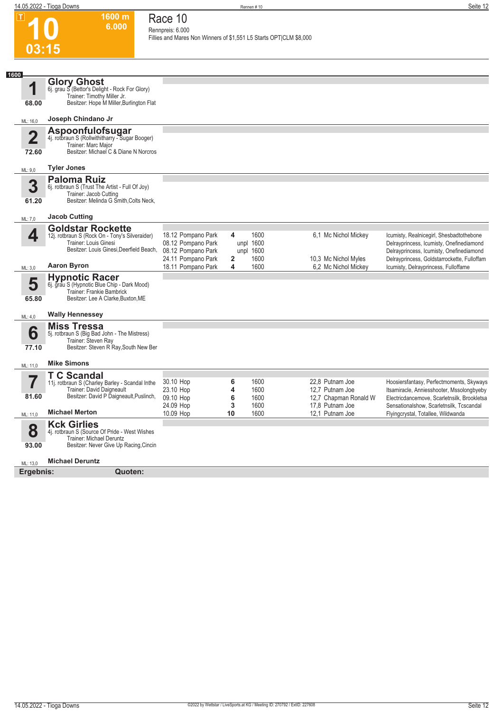| $ \mathbf{T} $                   | 1600 m<br>6.000                                                                                                                                 | Race 10<br>Rennpreis: 6.000                                                          |                  |                                        |                                                                                |                                                                                                                                                                                  |
|----------------------------------|-------------------------------------------------------------------------------------------------------------------------------------------------|--------------------------------------------------------------------------------------|------------------|----------------------------------------|--------------------------------------------------------------------------------|----------------------------------------------------------------------------------------------------------------------------------------------------------------------------------|
| 03:15                            |                                                                                                                                                 | Fillies and Mares Non Winners of \$1,551 L5 Starts OPT CLM \$8,000                   |                  |                                        |                                                                                |                                                                                                                                                                                  |
| 1600                             |                                                                                                                                                 |                                                                                      |                  |                                        |                                                                                |                                                                                                                                                                                  |
| 1<br>68.00                       | <b>Glory Ghost</b><br>6j. grau S (Bettor's Delight - Rock For Glory)<br>Trainer: Timothy Miller Jr.<br>Besitzer: Hope M Miller, Burlington Flat |                                                                                      |                  |                                        |                                                                                |                                                                                                                                                                                  |
| ML: 16,0                         | Joseph Chindano Jr                                                                                                                              |                                                                                      |                  |                                        |                                                                                |                                                                                                                                                                                  |
| $\overline{\mathbf{2}}$<br>72.60 | <b>Aspoonfulofsugar</b><br>4j. rotbraun S (Rollwithitharry - Sugar Booger)<br>Trainer: Marc Major<br>Besitzer: Michael C & Diane N Norcros      |                                                                                      |                  |                                        |                                                                                |                                                                                                                                                                                  |
| ML: 9,0                          | <b>Tyler Jones</b>                                                                                                                              |                                                                                      |                  |                                        |                                                                                |                                                                                                                                                                                  |
| 3<br>61.20                       | <b>Paloma Ruiz</b><br>6j. rotbraun S (Trust The Artist - Full Of Joy)<br>Trainer: Jacob Cutting<br>Besitzer: Melinda G Smith, Colts Neck,       |                                                                                      |                  |                                        |                                                                                |                                                                                                                                                                                  |
| ML: 7,0                          | <b>Jacob Cutting</b>                                                                                                                            |                                                                                      |                  |                                        |                                                                                |                                                                                                                                                                                  |
| 4                                | <b>Goldstar Rockette</b><br>12j. rotbraun S (Rock On - Tony's Silveraider)<br>Trainer: Louis Ginesi<br>Besitzer: Louis Ginesi, Deerfield Beach, | 18.12 Pompano Park<br>08.12 Pompano Park<br>08.12 Pompano Park<br>24.11 Pompano Park | 4<br>2           | 1600<br>unpl 1600<br>unpl 1600<br>1600 | 6,1 Mc Nichol Mickey<br>10,3 Mc Nichol Myles                                   | Icumisty, Realnicegirl, Shesbadtothebone<br>Delrayprincess, Icumisty, Onefinediamond<br>Delrayprincess, Icumisty, Onefinediamond<br>Delrayprincess, Goldstarrockette, Fulloffam  |
| ML: 3,0                          | <b>Aaron Byron</b>                                                                                                                              | 18.11 Pompano Park                                                                   | 4                | 1600                                   | 6,2 Mc Nichol Mickey                                                           | Icumisty, Delrayprincess, Fulloffame                                                                                                                                             |
| 5<br>65.80                       | <b>Hypnotic Racer</b><br>6j. grau S (Hypnotic Blue Chip - Dark Mood)<br>Trainer: Frankie Bambrick<br>Besitzer: Lee A Clarke, Buxton, ME         |                                                                                      |                  |                                        |                                                                                |                                                                                                                                                                                  |
| ML: 4,0                          | <b>Wally Hennessey</b>                                                                                                                          |                                                                                      |                  |                                        |                                                                                |                                                                                                                                                                                  |
| 6<br>77.10                       | <b>Miss Tressa</b><br>5j. rotbraun S (Big Bad John - The Mistress)<br>Trainer: Steven Ray<br>Besitzer: Steven R Ray, South New Ber              |                                                                                      |                  |                                        |                                                                                |                                                                                                                                                                                  |
| ML: 11,0                         | <b>Mike Simons</b>                                                                                                                              |                                                                                      |                  |                                        |                                                                                |                                                                                                                                                                                  |
| 81.60                            | <b>T C Scandal</b><br>11j. rotbraun S (Charley Barley - Scandal Inthe<br>Trainer: David Daigneault<br>Besitzer: David P Daigneault, Puslinch,   | 30.10 Hop<br>23.10 Hop<br>09.10 Hop<br>24.09 Hop                                     | 6<br>4<br>6<br>3 | 1600<br>1600<br>1600<br>1600           | 22.8 Putnam Joe<br>12,7 Putnam Joe<br>12,7 Chapman Ronald W<br>17.8 Putnam Joe | Hoosiersfantasy, Perfectmoments, Skyways<br>Itsamiracle, Anniesshooter, Mssolongbyeby<br>Electricdancemove, Scarletnsilk, Brookletsa<br>Sensationalshow, Scarletnsilk, Tcscandal |
| ML: 11,0                         | <b>Michael Merton</b>                                                                                                                           | 10.09 Hop                                                                            | 10               | 1600                                   | 12,1 Putnam Joe                                                                | Flyingcrystal, Totallee, Wildwanda                                                                                                                                               |
| 8<br>93.00                       | <b>Kck Girlies</b><br>4j. rotbraun S (Source Of Pride - West Wishes<br>Trainer: Michael Deruntz<br>Besitzer: Never Give Up Racing, Cincin       |                                                                                      |                  |                                        |                                                                                |                                                                                                                                                                                  |
| ML: 13,0                         | <b>Michael Deruntz</b>                                                                                                                          |                                                                                      |                  |                                        |                                                                                |                                                                                                                                                                                  |
| Ergebnis:                        | Quoten:                                                                                                                                         |                                                                                      |                  |                                        |                                                                                |                                                                                                                                                                                  |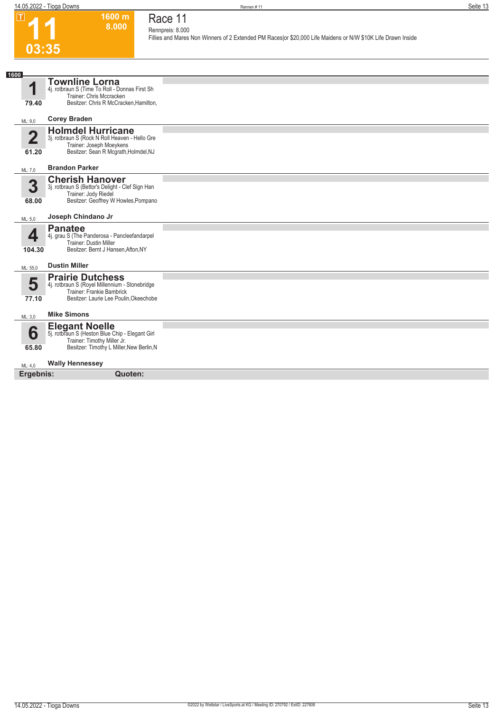$\boxed{1}$ 



## **Race 11**

**Rennpreis: 8.000**

**1600 m 8.000** 

**Fillies and Mares Non Winners of 2 Extended PM Races|or \$20,000 Life Maidens or N/W \$10K Life Drawn Inside** 

| 1600                 |                                                                                                                                                  |  |
|----------------------|--------------------------------------------------------------------------------------------------------------------------------------------------|--|
| 1<br>79.40           | <b>Townline Lorna</b><br>4j. rotbraun S (Time To Roll - Donnas First Sh<br>Trainer: Chris Mccracken<br>Besitzer: Chris R McCracken, Hamilton,    |  |
| ML: 9,0              | <b>Corey Braden</b>                                                                                                                              |  |
| $\mathbf 2$<br>61.20 | <b>Holmdel Hurricane</b><br>3j. rotbraun S (Rock N Roll Heaven - Hello Gre<br>Trainer: Joseph Moeykens<br>Besitzer: Sean R Mcgrath, Holmdel, NJ  |  |
| ML: 7,0              | <b>Brandon Parker</b>                                                                                                                            |  |
| 3<br>68.00           | <b>Cherish Hanover</b><br>3j. rotbraun S (Bettor's Delight - Clef Sign Han<br>Trainer: Jody Riedel<br>Besitzer: Geoffrey W Howles, Pompano       |  |
| ML: 5.0              | Joseph Chindano Jr                                                                                                                               |  |
| ◢<br>104.30          | <b>Panatee</b><br>4j. grau S (The Panderosa - Pancleefandarpel<br><b>Trainer: Dustin Miller</b><br>Besitzer: Bernt J Hansen, Afton, NY           |  |
| ML: 55,0             | <b>Dustin Miller</b>                                                                                                                             |  |
| 5<br>77.10           | <b>Prairie Dutchess</b><br>4j. rotbraun S (Royel Millennium - Stonebridge<br>Trainer: Frankie Bambrick<br>Besitzer: Laurie Lee Poulin, Okeechobe |  |
| ML: 3,0              | <b>Mike Simons</b>                                                                                                                               |  |
| 6<br>65.80           | Elegant Noelle<br>5j. rotbraun S (Heston Blue Chip - Elegant Girl<br>Trainer: Timothy Miller Jr.<br>Besitzer: Timothy L Miller, New Berlin, N    |  |
| ML: 4.0              | <b>Wally Hennessey</b>                                                                                                                           |  |
| Ergebnis:            | Quoten:                                                                                                                                          |  |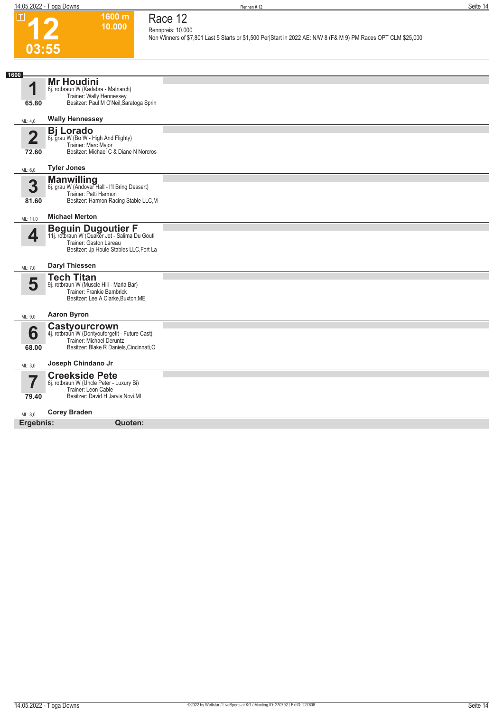

#### **1600 m 10.000 Race 12 Rennpreis: 10.000**

**Non Winners of \$7,801 Last 5 Starts or \$1,500 Per|Start in 2022 AE: N/W 8 (F& M 9) PM Races OPT CLM \$25,000** 

| 1600<br>1<br>65.80 | <b>Mr Houdini</b><br>8j. rotbraun W (Kadabra - Matriarch)<br>Trainer: Wally Hennessey<br>Besitzer: Paul M O'Neil, Saratoga Sprin                |  |
|--------------------|-------------------------------------------------------------------------------------------------------------------------------------------------|--|
| ML: 4,0            | <b>Wally Hennessey</b>                                                                                                                          |  |
| 2<br>72.60         | <b>Bj Lorado</b><br>8j. grau W (Bo W - High And Flighty)<br>Trainer: Marc Major<br>Besitzer: Michael C & Diane N Norcros                        |  |
| ML: 6,0            | <b>Tyler Jones</b>                                                                                                                              |  |
| 3<br>81.60         | <b>Manwilling</b><br>6j. grau W (Andover Hall - I'll Bring Dessert)<br>Trainer: Patti Harmon<br>Besitzer: Harmon Racing Stable LLC, M           |  |
| ML: 11,0           | <b>Michael Merton</b>                                                                                                                           |  |
| 4                  | <b>Beguin Dugoutier F</b><br>11j. rotbraun W (Quaker Jet - Salima Du Gouti<br>Trainer: Gaston Lareau<br>Besitzer: Jp Houle Stables LLC, Fort La |  |
| ML: 7,0            | Daryl Thiessen                                                                                                                                  |  |
| 5                  | <b>Tech Titan</b><br>9j. rotbraun W (Muscle Hill - Marla Bar)<br>Trainer: Frankie Bambrick<br>Besitzer: Lee A Clarke, Buxton, ME                |  |
| ML: 9,0            | <b>Aaron Byron</b>                                                                                                                              |  |
| 6<br>68.00         | Castyourcrown<br>4j. rotbraun W (Dontyouforgetit - Future Cast)<br>Trainer: Michael Deruntz<br>Besitzer: Blake R Daniels, Cincinnati, O         |  |
| ML: 3,0            | Joseph Chindano Jr                                                                                                                              |  |
| ٣<br>79.40         | <b>Creekside Pete</b><br>6j. rotbraun W (Uncle Peter - Luxury Bi)<br>Trainer: Leon Cable<br>Besitzer: David H Jarvis, Novi, MI                  |  |
| ML: 8,0            | <b>Corey Braden</b>                                                                                                                             |  |
| Ergebnis:          | Quoten:                                                                                                                                         |  |